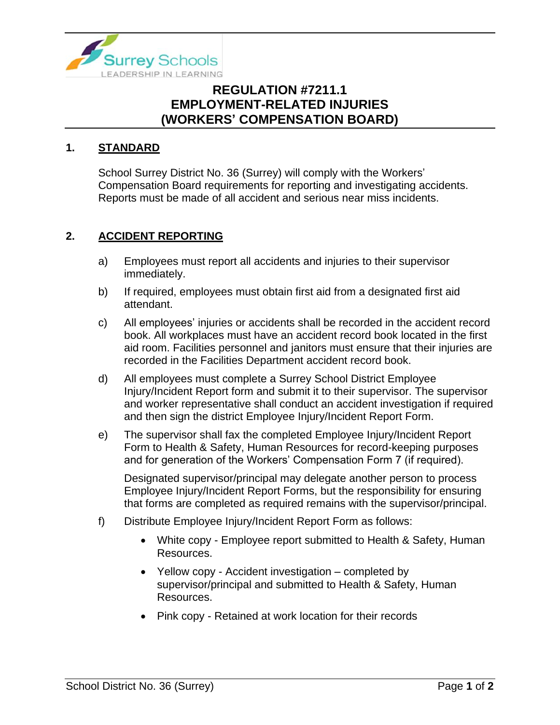

## **REGULATION #7211.1 EMPLOYMENT-RELATED INJURIES (WORKERS' COMPENSATION BOARD)**

#### **1. STANDARD**

School Surrey District No. 36 (Surrey) will comply with the Workers' Compensation Board requirements for reporting and investigating accidents. Reports must be made of all accident and serious near miss incidents.

#### **2. ACCIDENT REPORTING**

- a) Employees must report all accidents and injuries to their supervisor immediately.
- b) If required, employees must obtain first aid from a designated first aid attendant.
- c) All employees' injuries or accidents shall be recorded in the accident record book. All workplaces must have an accident record book located in the first aid room. Facilities personnel and janitors must ensure that their injuries are recorded in the Facilities Department accident record book.
- d) All employees must complete a Surrey School District Employee Injury/Incident Report form and submit it to their supervisor. The supervisor and worker representative shall conduct an accident investigation if required and then sign the district Employee Injury/Incident Report Form.
- e) The supervisor shall fax the completed Employee Injury/Incident Report Form to Health & Safety, Human Resources for record-keeping purposes and for generation of the Workers' Compensation Form 7 (if required).

Designated supervisor/principal may delegate another person to process Employee Injury/Incident Report Forms, but the responsibility for ensuring that forms are completed as required remains with the supervisor/principal.

- f) Distribute Employee Injury/Incident Report Form as follows:
	- White copy Employee report submitted to Health & Safety, Human Resources.
	- Yellow copy Accident investigation completed by supervisor/principal and submitted to Health & Safety, Human Resources.
	- Pink copy Retained at work location for their records